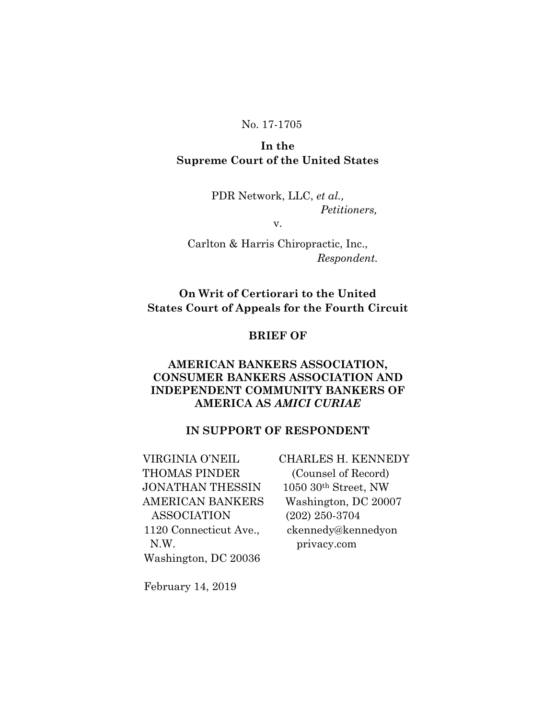### No. 17-1705

# **In the Supreme Court of the United States**

PDR Network, LLC, *et al., Petitioners,*

v.

Carlton & Harris Chiropractic, Inc.,  *Respondent.*

# **On Writ of Certiorari to the United States Court of Appeals for the Fourth Circuit**

### **BRIEF OF**

## **AMERICAN BANKERS ASSOCIATION, CONSUMER BANKERS ASSOCIATION AND INDEPENDENT COMMUNITY BANKERS OF AMERICA AS** *AMICI CURIAE*

## **IN SUPPORT OF RESPONDENT**

 VIRGINIA O'NEIL CHARLES H. KENNEDY THOMAS PINDER (Counsel of Record) JONATHAN THESSIN 1050 30th Street, NW AMERICAN BANKERS Washington, DC 20007 ASSOCIATION (202) 250-3704 1120 Connecticut Ave., ckennedy@kennedyon N.W. privacy.com Washington, DC 20036

February 14, 2019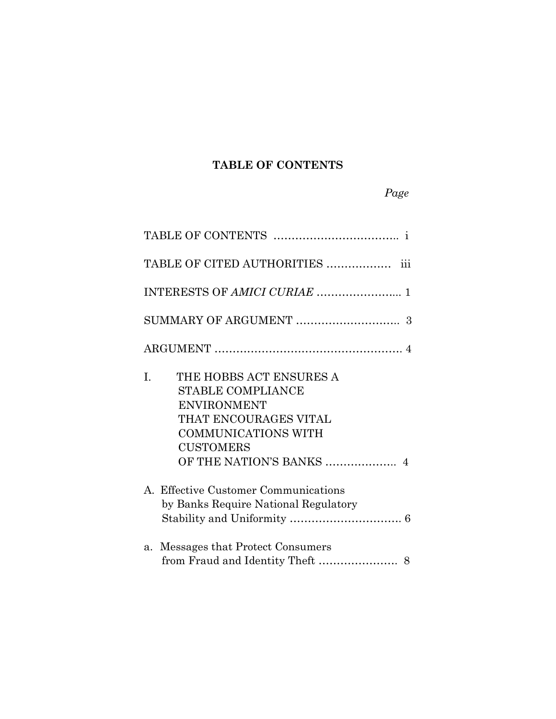# **TABLE OF CONTENTS**

# *Page*

| TABLE OF CITED AUTHORITIES  iii                                                                                                                                                        |
|----------------------------------------------------------------------------------------------------------------------------------------------------------------------------------------|
| INTERESTS OF AMICI CURIAE  1                                                                                                                                                           |
|                                                                                                                                                                                        |
|                                                                                                                                                                                        |
| THE HOBBS ACT ENSURES A<br>I.<br><b>STABLE COMPLIANCE</b><br><b>ENVIRONMENT</b><br>THAT ENCOURAGES VITAL<br><b>COMMUNICATIONS WITH</b><br><b>CUSTOMERS</b><br>OF THE NATION'S BANKS  4 |
| A. Effective Customer Communications<br>by Banks Require National Regulatory                                                                                                           |
| Messages that Protect Consumers<br>a.                                                                                                                                                  |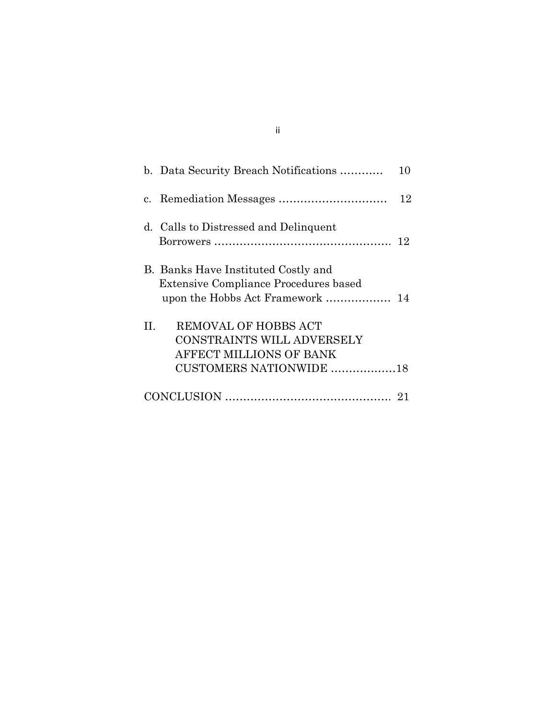| b. Data Security Breach Notifications                                                                                   | 10 |
|-------------------------------------------------------------------------------------------------------------------------|----|
|                                                                                                                         | 12 |
| d. Calls to Distressed and Delinquent                                                                                   | 12 |
| B. Banks Have Instituted Costly and<br><b>Extensive Compliance Procedures based</b><br>upon the Hobbs Act Framework  14 |    |
| REMOVAL OF HOBBS ACT<br>H.<br>CONSTRAINTS WILL ADVERSELY<br>AFFECT MILLIONS OF BANK<br>CUSTOMERS NATIONWIDE 18          |    |
|                                                                                                                         |    |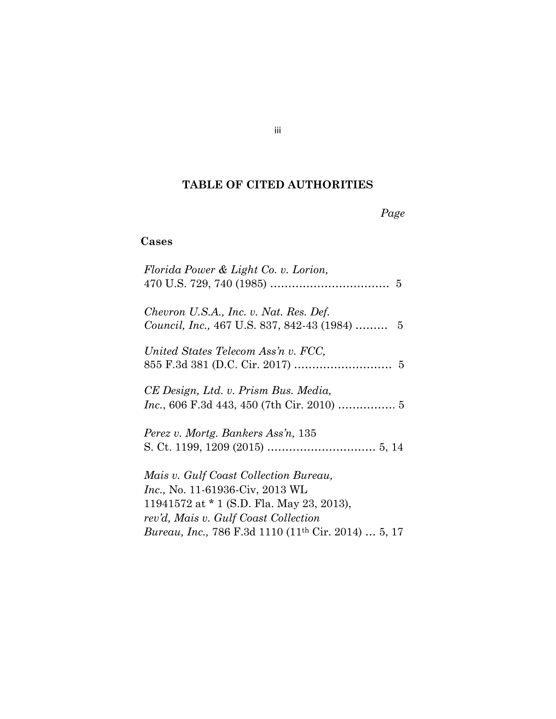# **TABLE OF CITED AUTHORITIES**

*Page*

# **Cases**

| Florida Power & Light Co. v. Lorion,                            |
|-----------------------------------------------------------------|
|                                                                 |
| Chevron U.S.A., Inc. v. Nat. Res. Def.                          |
| Council, Inc., 467 U.S. 837, 842-43 (1984)  5                   |
| United States Telecom Ass'n v. FCC,                             |
|                                                                 |
| CE Design, Ltd. v. Prism Bus. Media,                            |
|                                                                 |
| Perez v. Mortg. Bankers Ass'n, 135                              |
|                                                                 |
| Mais v. Gulf Coast Collection Bureau,                           |
| <i>Inc.</i> , No. 11-61936-Civ, 2013 WL                         |
| 11941572 at $*$ 1 (S.D. Fla. May 23, 2013),                     |
| rev'd, Mais v. Gulf Coast Collection                            |
| Bureau, Inc., 786 F.3d 1110 (11 <sup>th</sup> Cir. 2014)  5, 17 |

iii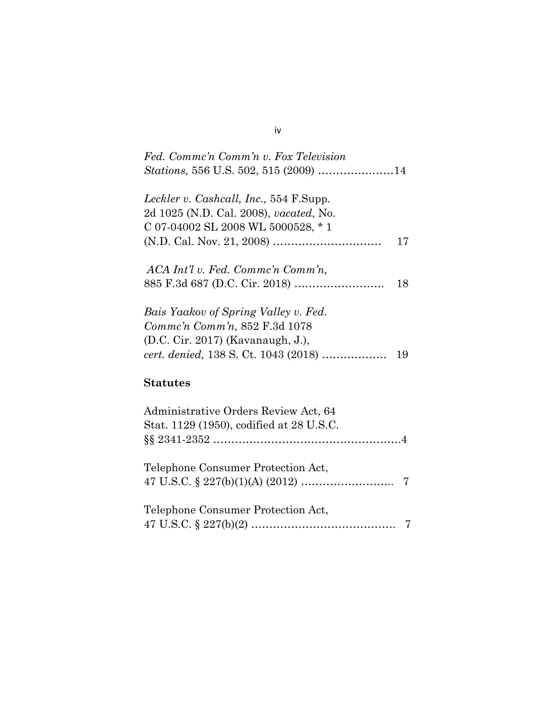| Fed. Commc'n Comm'n v. Fox Television  |    |
|----------------------------------------|----|
|                                        |    |
| Leckler v. Cashcall, Inc., 554 F.Supp. |    |
| 2d 1025 (N.D. Cal. 2008), vacated, No. |    |
| C 07-04002 SL 2008 WL 5000528, *1      |    |
|                                        | 17 |
| ACA Int'l v. Fed. Commc'n Comm'n,      |    |
|                                        | 18 |
| Bais Yaakov of Spring Valley v. Fed.   |    |
| Comme'n Comm'n, 852 F.3d 1078          |    |
| (D.C. Cir. 2017) (Kavanaugh, J.),      |    |
|                                        | 19 |
| <b>Statutes</b>                        |    |
| Administrative Orders Review Act, 64   |    |
|                                        |    |

§§ 2341-2352 …………………………………………….4

47 U.S.C. § 227(b)(1)(A) (2012) …………………….. 7

47 U.S.C. § 227(b)(2) …………………………………. 7

Stat. 1129 (1950), codified at 28 U.S.C.

Telephone Consumer Protection Act,

Telephone Consumer Protection Act,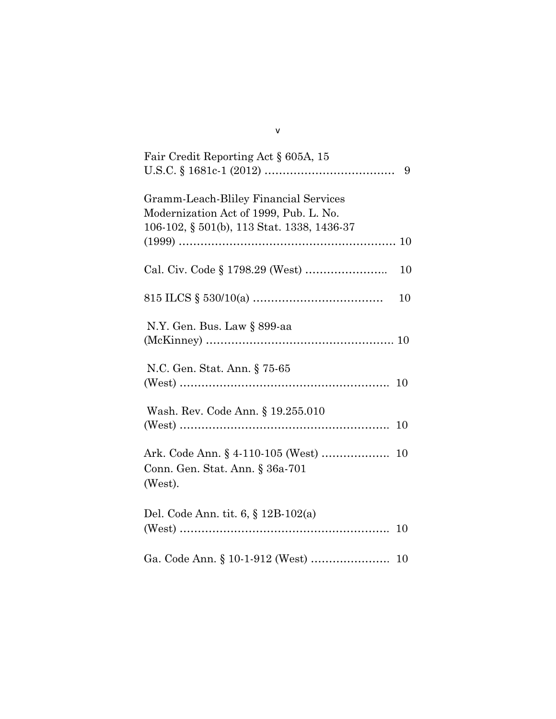| Fair Credit Reporting Act § 605A, 15                                                                                          |    |
|-------------------------------------------------------------------------------------------------------------------------------|----|
| Gramm-Leach-Bliley Financial Services<br>Modernization Act of 1999, Pub. L. No.<br>106-102, § 501(b), 113 Stat. 1338, 1436-37 |    |
|                                                                                                                               | 10 |
|                                                                                                                               | 10 |
| N.Y. Gen. Bus. Law § 899-aa                                                                                                   |    |
| N.C. Gen. Stat. Ann. § 75-65                                                                                                  |    |
| Wash. Rev. Code Ann. § 19.255.010                                                                                             | 10 |
| Ark. Code Ann. § 4-110-105 (West)<br>Conn. Gen. Stat. Ann. § 36a-701<br>(West).                                               | 10 |
| Del. Code Ann. tit. 6, § 12B-102(a)                                                                                           | 10 |
|                                                                                                                               | 10 |

v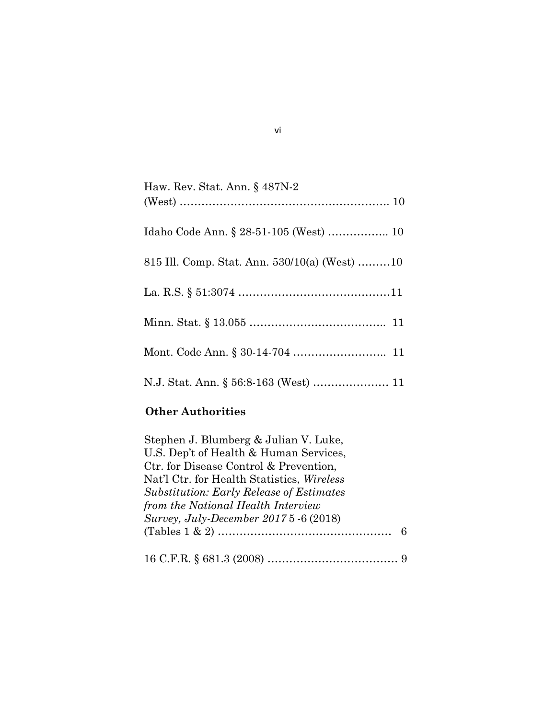| Haw. Rev. Stat. Ann. § 487N-2                   |
|-------------------------------------------------|
| Idaho Code Ann. § 28-51-105 (West)  10          |
| 815 Ill. Comp. Stat. Ann. $530/10(a)$ (West) 10 |
|                                                 |
|                                                 |
|                                                 |
|                                                 |

# **Other Authorities**

| Stephen J. Blumberg & Julian V. Luke,             |   |
|---------------------------------------------------|---|
| U.S. Dep't of Health & Human Services,            |   |
| Ctr. for Disease Control & Prevention,            |   |
| Nat'l Ctr. for Health Statistics, <i>Wireless</i> |   |
| <b>Substitution: Early Release of Estimates</b>   |   |
| from the National Health Interview                |   |
| Survey, July-December 2017 5 -6 (2018)            |   |
|                                                   | 6 |
|                                                   |   |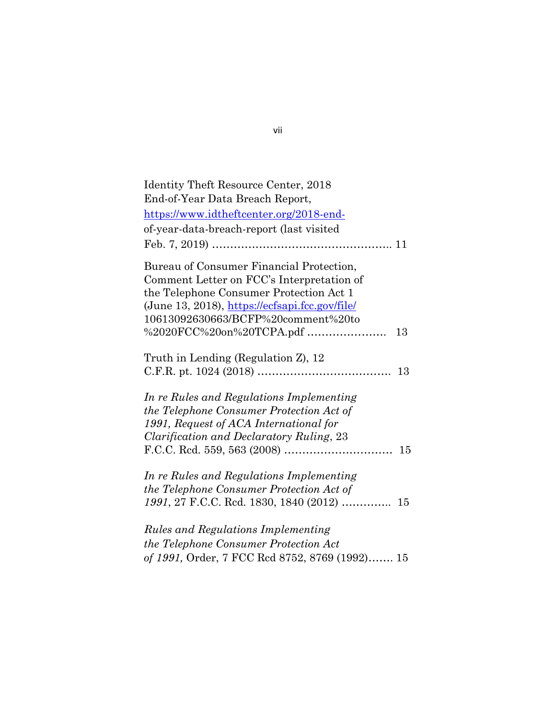| Identity Theft Resource Center, 2018           |    |
|------------------------------------------------|----|
| End-of-Year Data Breach Report,                |    |
| https://www.idtheftcenter.org/2018-end-        |    |
| of-year-data-breach-report (last visited       |    |
|                                                |    |
| Bureau of Consumer Financial Protection,       |    |
| Comment Letter on FCC's Interpretation of      |    |
| the Telephone Consumer Protection Act 1        |    |
| (June 13, 2018), https://ecfsapi.fcc.gov/file/ |    |
| 10613092630663/BCFP%20comment%20to             |    |
|                                                | 13 |
| Truth in Lending (Regulation Z), 12            |    |
|                                                | 13 |
| In re Rules and Regulations Implementing       |    |
| the Telephone Consumer Protection Act of       |    |
| 1991, Request of ACA International for         |    |
| Clarification and Declaratory Ruling, 23       |    |
|                                                |    |
| In re Rules and Regulations Implementing       |    |
| the Telephone Consumer Protection Act of       |    |
| 1991, 27 F.C.C. Red. 1830, 1840 (2012)         | 15 |
| <b>Rules and Regulations Implementing</b>      |    |
| the Telephone Consumer Protection Act          |    |
|                                                |    |
| of 1991, Order, 7 FCC Rcd 8752, 8769 (1992) 15 |    |

vii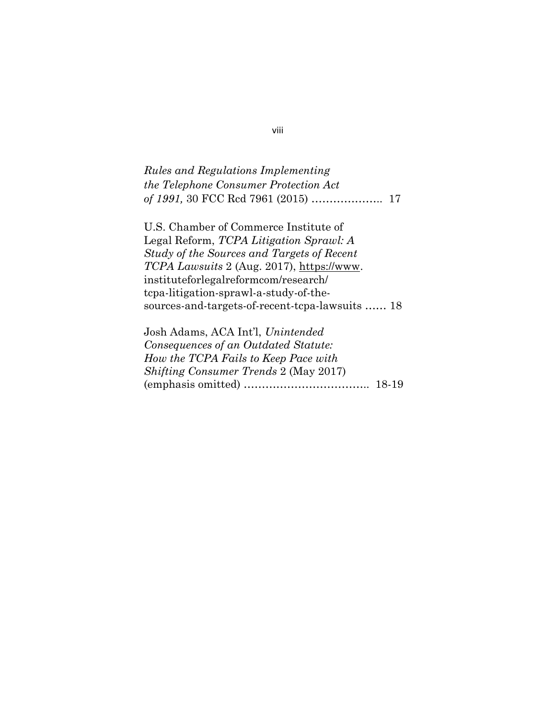# *Rules and Regulations Implementing the Telephone Consumer Protection Act of 1991,* 30 FCC Rcd 7961 (2015) ……………….. 17

U.S. Chamber of Commerce Institute of Legal Reform, *TCPA Litigation Sprawl: A Study of the Sources and Targets of Recent TCPA Lawsuits* 2 (Aug. 2017), [https://www.](https://www/) instituteforlegalreformcom/research/ tcpa-litigation-sprawl-a-study-of-thesources-and-targets-of-recent-tcpa-lawsuits …… 18

Josh Adams, ACA Int'l, *Unintended Consequences of an Outdated Statute: How the TCPA Fails to Keep Pace with Shifting Consumer Trends* 2 (May 2017) (emphasis omitted) …………………………….. 18-19

#### viii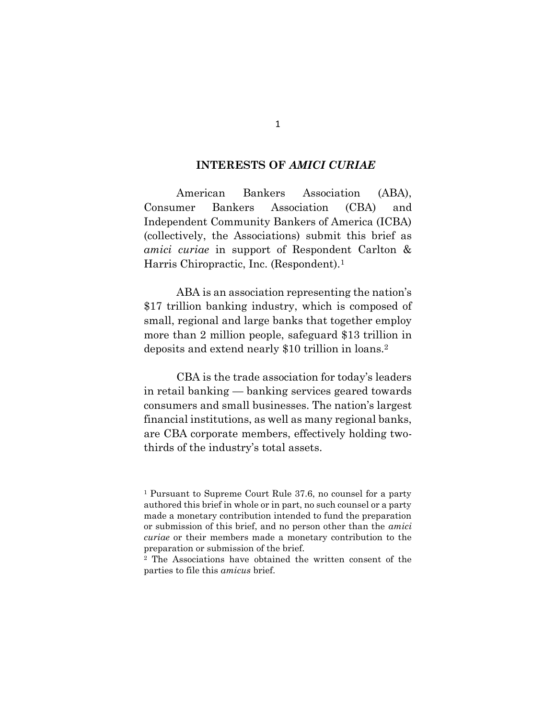#### **INTERESTS OF** *AMICI CURIAE*

American Bankers Association (ABA), Consumer Bankers Association (CBA) and Independent Community Bankers of America (ICBA) (collectively, the Associations) submit this brief as *amici curiae* in support of Respondent Carlton & Harris Chiropractic, Inc. (Respondent).<sup>1</sup>

ABA is an association representing the nation's \$17 trillion banking industry, which is composed of small, regional and large banks that together employ more than 2 million people, safeguard \$13 trillion in deposits and extend nearly \$10 trillion in loans.<sup>2</sup>

CBA is the trade association for today's leaders in retail banking — banking services geared towards consumers and small businesses. The nation's largest financial institutions, as well as many regional banks, are CBA corporate members, effectively holding twothirds of the industry's total assets.

<sup>1</sup> Pursuant to Supreme Court Rule 37.6, no counsel for a party authored this brief in whole or in part, no such counsel or a party made a monetary contribution intended to fund the preparation or submission of this brief, and no person other than the *amici curiae* or their members made a monetary contribution to the preparation or submission of the brief.

<sup>2</sup> The Associations have obtained the written consent of the parties to file this *amicus* brief.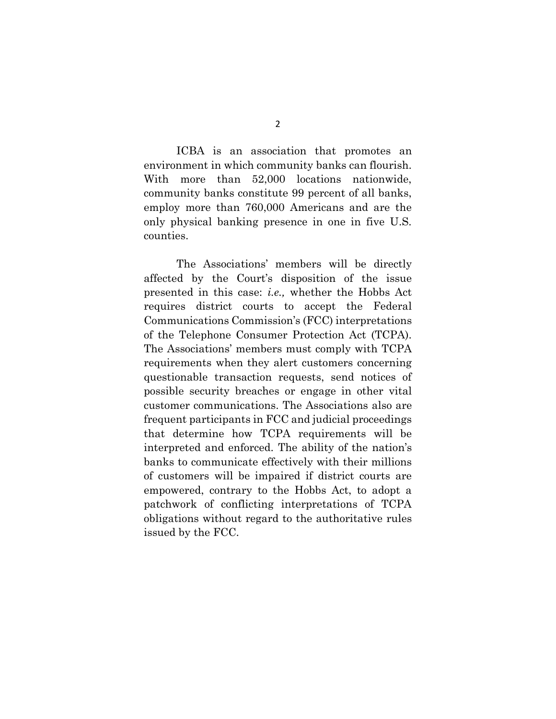ICBA is an association that promotes an environment in which community banks can flourish. With more than 52,000 locations nationwide, community banks constitute 99 percent of all banks, employ more than 760,000 Americans and are the only physical banking presence in one in five U.S. counties.

The Associations' members will be directly affected by the Court's disposition of the issue presented in this case: *i.e.,* whether the Hobbs Act requires district courts to accept the Federal Communications Commission's (FCC) interpretations of the Telephone Consumer Protection Act (TCPA). The Associations' members must comply with TCPA requirements when they alert customers concerning questionable transaction requests, send notices of possible security breaches or engage in other vital customer communications. The Associations also are frequent participants in FCC and judicial proceedings that determine how TCPA requirements will be interpreted and enforced. The ability of the nation's banks to communicate effectively with their millions of customers will be impaired if district courts are empowered, contrary to the Hobbs Act, to adopt a patchwork of conflicting interpretations of TCPA obligations without regard to the authoritative rules issued by the FCC.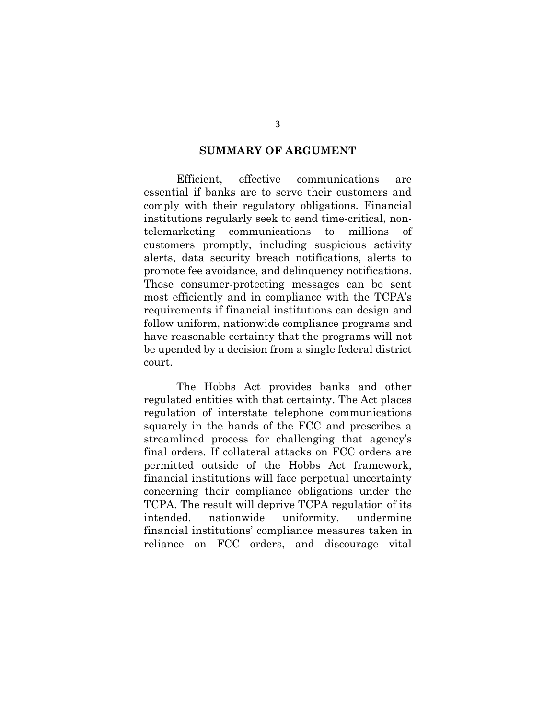#### **SUMMARY OF ARGUMENT**

Efficient, effective communications are essential if banks are to serve their customers and comply with their regulatory obligations. Financial institutions regularly seek to send time-critical, nontelemarketing communications to millions of customers promptly, including suspicious activity alerts, data security breach notifications, alerts to promote fee avoidance, and delinquency notifications. These consumer-protecting messages can be sent most efficiently and in compliance with the TCPA's requirements if financial institutions can design and follow uniform, nationwide compliance programs and have reasonable certainty that the programs will not be upended by a decision from a single federal district court.

The Hobbs Act provides banks and other regulated entities with that certainty. The Act places regulation of interstate telephone communications squarely in the hands of the FCC and prescribes a streamlined process for challenging that agency's final orders. If collateral attacks on FCC orders are permitted outside of the Hobbs Act framework, financial institutions will face perpetual uncertainty concerning their compliance obligations under the TCPA. The result will deprive TCPA regulation of its intended, nationwide uniformity, undermine financial institutions' compliance measures taken in reliance on FCC orders, and discourage vital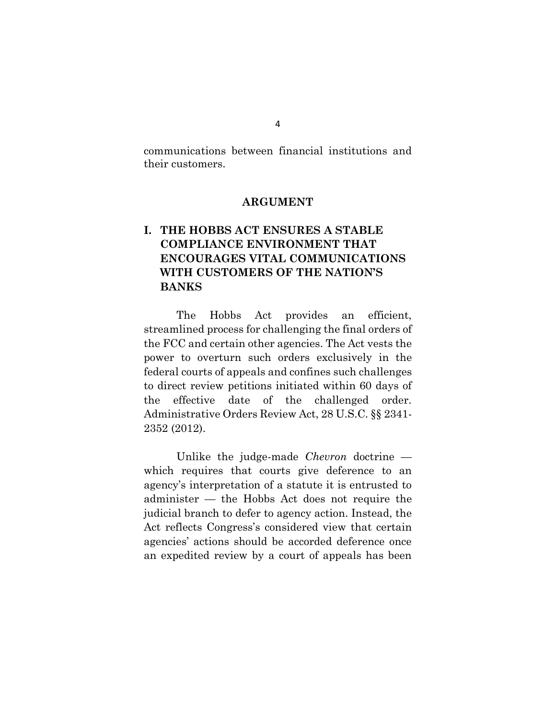communications between financial institutions and their customers.

#### **ARGUMENT**

# **I. THE HOBBS ACT ENSURES A STABLE COMPLIANCE ENVIRONMENT THAT ENCOURAGES VITAL COMMUNICATIONS WITH CUSTOMERS OF THE NATION'S BANKS**

The Hobbs Act provides an efficient, streamlined process for challenging the final orders of the FCC and certain other agencies. The Act vests the power to overturn such orders exclusively in the federal courts of appeals and confines such challenges to direct review petitions initiated within 60 days of the effective date of the challenged order. Administrative Orders Review Act, 28 U.S.C. §§ 2341- 2352 (2012).

Unlike the judge-made *Chevron* doctrine which requires that courts give deference to an agency's interpretation of a statute it is entrusted to administer — the Hobbs Act does not require the judicial branch to defer to agency action. Instead, the Act reflects Congress's considered view that certain agencies' actions should be accorded deference once an expedited review by a court of appeals has been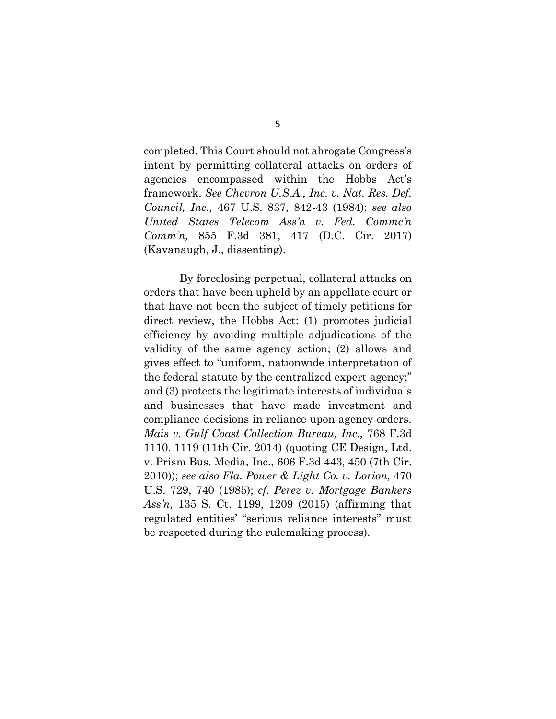completed. This Court should not abrogate Congress's intent by permitting collateral attacks on orders of agencies encompassed within the Hobbs Act's framework. *See Chevron U.S.A., Inc. v. Nat. Res. Def. Council, Inc.,* 467 U.S. 837, 842-43 (1984); *see also United States Telecom Ass'n v. Fed. Commc'n Comm'n,* 855 F.3d 381, 417 (D.C. Cir. 2017) (Kavanaugh, J., dissenting).

By foreclosing perpetual, collateral attacks on orders that have been upheld by an appellate court or that have not been the subject of timely petitions for direct review, the Hobbs Act: (1) promotes judicial efficiency by avoiding multiple adjudications of the validity of the same agency action; (2) allows and gives effect to "uniform, nationwide interpretation of the federal statute by the centralized expert agency;" and (3) protects the legitimate interests of individuals and businesses that have made investment and compliance decisions in reliance upon agency orders. *Mais v. Gulf Coast Collection Bureau, Inc.,* 768 F.3d 1110, 1119 (11th Cir. 2014) (quoting CE Design, Ltd. v. Prism Bus. Media, Inc., 606 F.3d 443, 450 (7th Cir. 2010)); *see also Fla. Power & Light Co. v. Lorion,* 470 U.S. 729, 740 (1985); *cf. Perez v. Mortgage Bankers Ass'n,* 135 S. Ct. 1199, 1209 (2015) (affirming that regulated entities' "serious reliance interests" must be respected during the rulemaking process).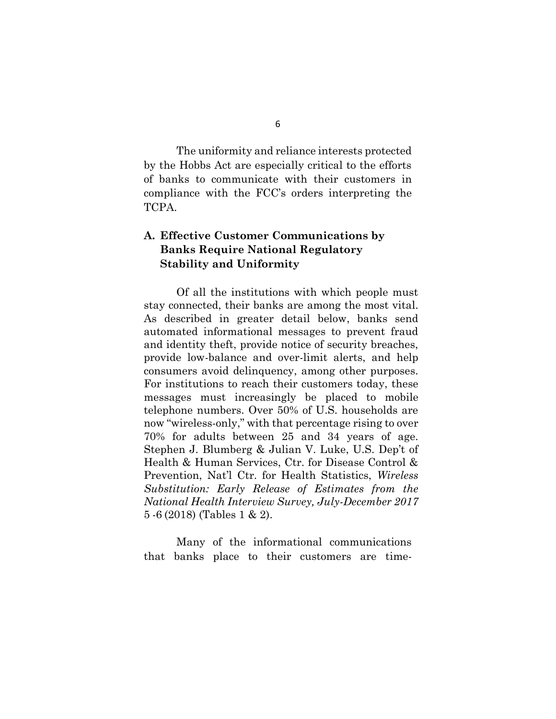The uniformity and reliance interests protected by the Hobbs Act are especially critical to the efforts of banks to communicate with their customers in compliance with the FCC's orders interpreting the TCPA.

## **A. Effective Customer Communications by Banks Require National Regulatory Stability and Uniformity**

Of all the institutions with which people must stay connected, their banks are among the most vital. As described in greater detail below, banks send automated informational messages to prevent fraud and identity theft, provide notice of security breaches, provide low-balance and over-limit alerts, and help consumers avoid delinquency, among other purposes. For institutions to reach their customers today, these messages must increasingly be placed to mobile telephone numbers. Over 50% of U.S. households are now "wireless-only," with that percentage rising to over 70% for adults between 25 and 34 years of age. Stephen J. Blumberg & Julian V. Luke, U.S. Dep't of Health & Human Services, Ctr. for Disease Control & Prevention, Nat'l Ctr. for Health Statistics, *Wireless Substitution: Early Release of Estimates from the National Health Interview Survey, July-December 2017* 5 -6 (2018) (Tables 1 & 2).

Many of the informational communications that banks place to their customers are time-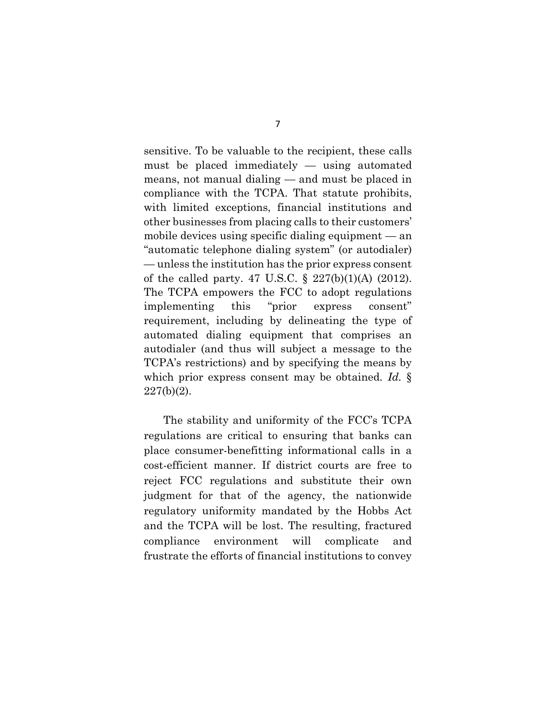sensitive. To be valuable to the recipient, these calls must be placed immediately — using automated means, not manual dialing — and must be placed in compliance with the TCPA. That statute prohibits, with limited exceptions, financial institutions and other businesses from placing calls to their customers' mobile devices using specific dialing equipment — an "automatic telephone dialing system" (or autodialer) — unless the institution has the prior express consent of the called party. 47 U.S.C. § 227(b)(1)(A) (2012). The TCPA empowers the FCC to adopt regulations implementing this "prior express consent" requirement, including by delineating the type of automated dialing equipment that comprises an autodialer (and thus will subject a message to the TCPA's restrictions) and by specifying the means by which prior express consent may be obtained. *Id.* §  $227(b)(2)$ .

The stability and uniformity of the FCC's TCPA regulations are critical to ensuring that banks can place consumer-benefitting informational calls in a cost-efficient manner. If district courts are free to reject FCC regulations and substitute their own judgment for that of the agency, the nationwide regulatory uniformity mandated by the Hobbs Act and the TCPA will be lost. The resulting, fractured compliance environment will complicate and frustrate the efforts of financial institutions to convey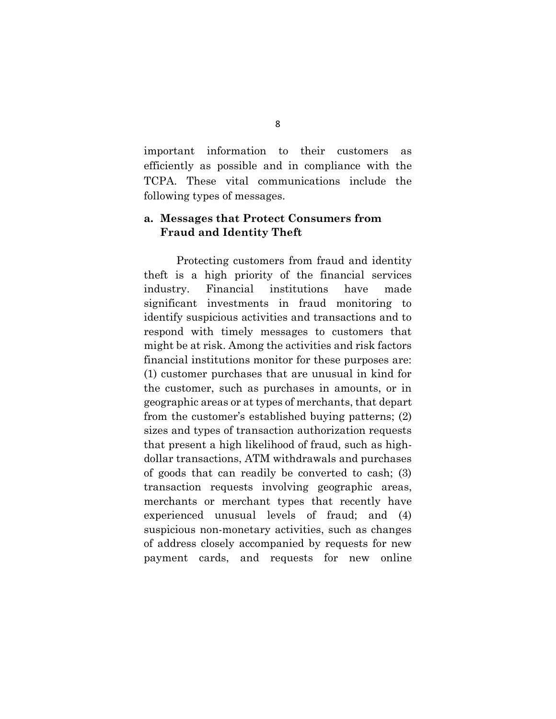important information to their customers as efficiently as possible and in compliance with the TCPA. These vital communications include the following types of messages.

## **a. Messages that Protect Consumers from Fraud and Identity Theft**

Protecting customers from fraud and identity theft is a high priority of the financial services industry. Financial institutions have made significant investments in fraud monitoring to identify suspicious activities and transactions and to respond with timely messages to customers that might be at risk. Among the activities and risk factors financial institutions monitor for these purposes are: (1) customer purchases that are unusual in kind for the customer, such as purchases in amounts, or in geographic areas or at types of merchants, that depart from the customer's established buying patterns; (2) sizes and types of transaction authorization requests that present a high likelihood of fraud, such as highdollar transactions, ATM withdrawals and purchases of goods that can readily be converted to cash; (3) transaction requests involving geographic areas, merchants or merchant types that recently have experienced unusual levels of fraud; and (4) suspicious non-monetary activities, such as changes of address closely accompanied by requests for new payment cards, and requests for new online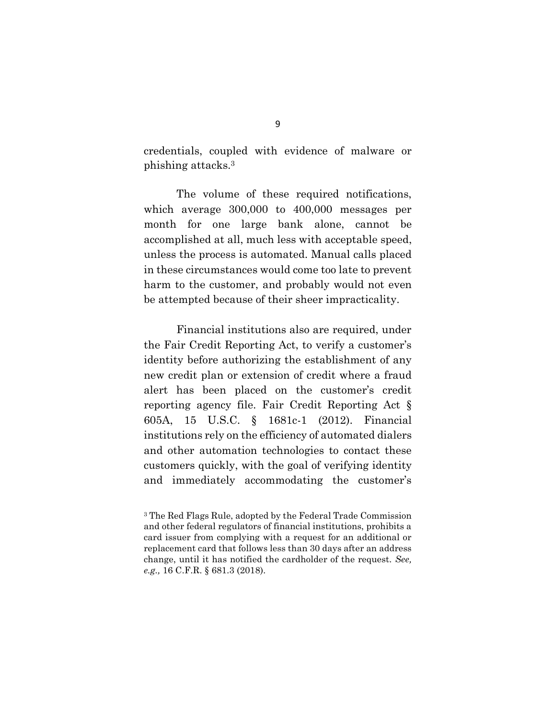credentials, coupled with evidence of malware or phishing attacks.<sup>3</sup>

The volume of these required notifications, which average 300,000 to 400,000 messages per month for one large bank alone, cannot be accomplished at all, much less with acceptable speed, unless the process is automated. Manual calls placed in these circumstances would come too late to prevent harm to the customer, and probably would not even be attempted because of their sheer impracticality.

Financial institutions also are required, under the Fair Credit Reporting Act, to verify a customer's identity before authorizing the establishment of any new credit plan or extension of credit where a fraud alert has been placed on the customer's credit reporting agency file. Fair Credit Reporting Act § 605A, 15 U.S.C. § 1681c-1 (2012). Financial institutions rely on the efficiency of automated dialers and other automation technologies to contact these customers quickly, with the goal of verifying identity and immediately accommodating the customer's

<sup>3</sup> The Red Flags Rule, adopted by the Federal Trade Commission and other federal regulators of financial institutions, prohibits a card issuer from complying with a request for an additional or replacement card that follows less than 30 days after an address change, until it has notified the cardholder of the request. *See, e.g.,* 16 C.F.R. § 681.3 (2018).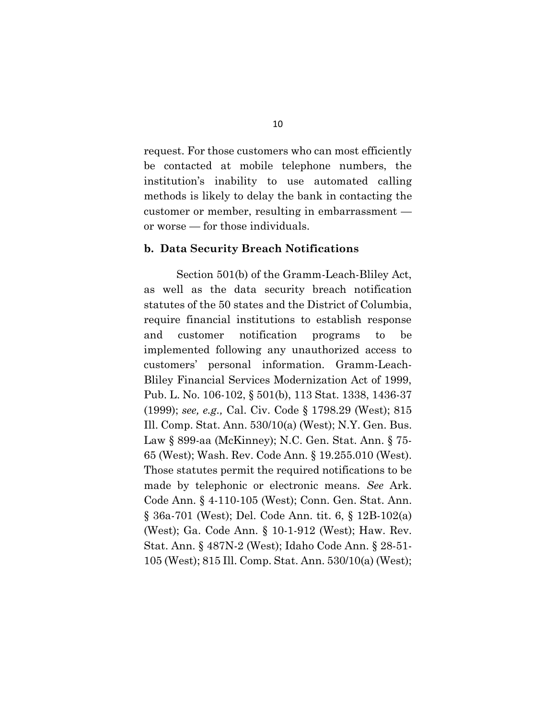request. For those customers who can most efficiently be contacted at mobile telephone numbers, the institution's inability to use automated calling methods is likely to delay the bank in contacting the customer or member, resulting in embarrassment or worse — for those individuals.

#### **b. Data Security Breach Notifications**

Section 501(b) of the Gramm-Leach-Bliley Act, as well as the data security breach notification statutes of the 50 states and the District of Columbia, require financial institutions to establish response and customer notification programs to be implemented following any unauthorized access to customers' personal information. Gramm-Leach-Bliley Financial Services Modernization Act of 1999, Pub. L. No. 106-102, § 501(b), 113 Stat. 1338, 1436-37 (1999); *see, e.g.,* Cal. Civ. Code § 1798.29 (West); 815 Ill. Comp. Stat. Ann. 530/10(a) (West); N.Y. Gen. Bus. Law § 899-aa (McKinney); N.C. Gen. Stat. Ann. § 75- 65 (West); Wash. Rev. Code Ann. § 19.255.010 (West). Those statutes permit the required notifications to be made by telephonic or electronic means. *See* Ark. Code Ann. § 4-110-105 (West); Conn. Gen. Stat. Ann. § 36a-701 (West); Del. Code Ann. tit. 6, § 12B-102(a) (West); Ga. Code Ann. § 10-1-912 (West); Haw. Rev. Stat. Ann. § 487N-2 (West); Idaho Code Ann. § 28-51- 105 (West); 815 Ill. Comp. Stat. Ann. 530/10(a) (West);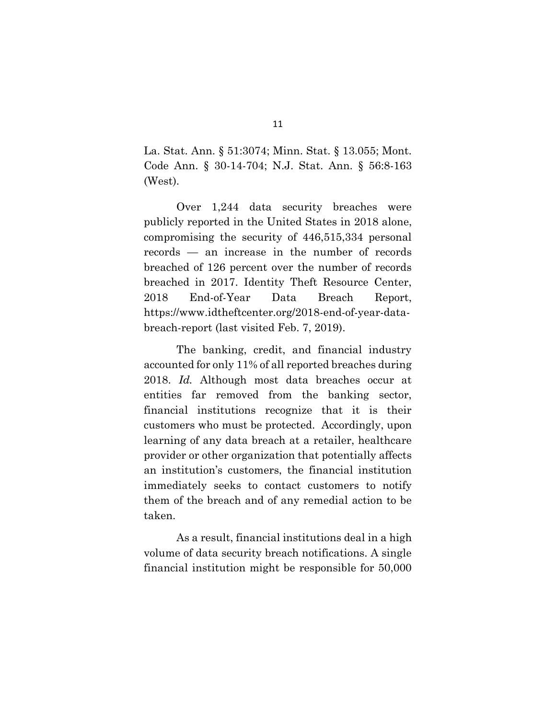La. Stat. Ann. § 51:3074; Minn. Stat. § 13.055; Mont. Code Ann. § 30-14-704; N.J. Stat. Ann. § 56:8-163 (West).

Over 1,244 data security breaches were publicly reported in the United States in 2018 alone, compromising the security of 446,515,334 personal records — an increase in the number of records breached of 126 percent over the number of records breached in 2017. Identity Theft Resource Center, 2018 End-of-Year Data Breach Report, https://www.idtheftcenter.org/2018-end-of-year-databreach-report (last visited Feb. 7, 2019).

The banking, credit, and financial industry accounted for only 11% of all reported breaches during 2018. *Id.* Although most data breaches occur at entities far removed from the banking sector, financial institutions recognize that it is their customers who must be protected. Accordingly, upon learning of any data breach at a retailer, healthcare provider or other organization that potentially affects an institution's customers, the financial institution immediately seeks to contact customers to notify them of the breach and of any remedial action to be taken.

As a result, financial institutions deal in a high volume of data security breach notifications. A single financial institution might be responsible for 50,000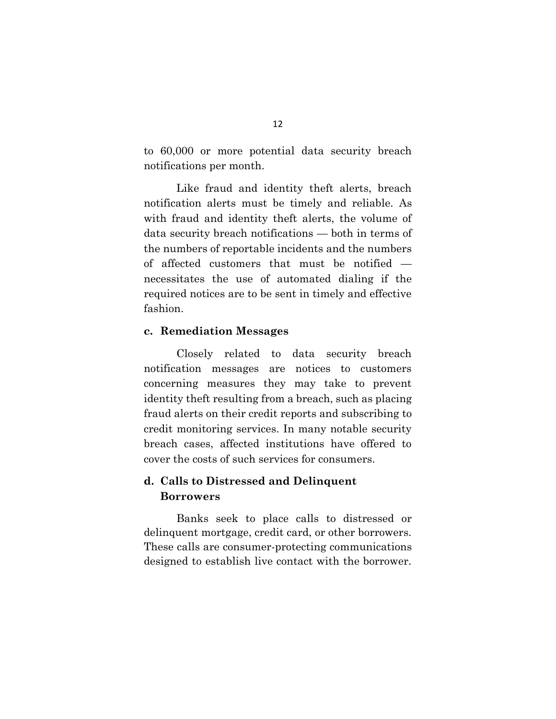to 60,000 or more potential data security breach notifications per month.

Like fraud and identity theft alerts, breach notification alerts must be timely and reliable. As with fraud and identity theft alerts, the volume of data security breach notifications — both in terms of the numbers of reportable incidents and the numbers of affected customers that must be notified necessitates the use of automated dialing if the required notices are to be sent in timely and effective fashion.

#### **c. Remediation Messages**

Closely related to data security breach notification messages are notices to customers concerning measures they may take to prevent identity theft resulting from a breach, such as placing fraud alerts on their credit reports and subscribing to credit monitoring services. In many notable security breach cases, affected institutions have offered to cover the costs of such services for consumers.

# **d. Calls to Distressed and Delinquent Borrowers**

Banks seek to place calls to distressed or delinquent mortgage, credit card, or other borrowers. These calls are consumer-protecting communications designed to establish live contact with the borrower.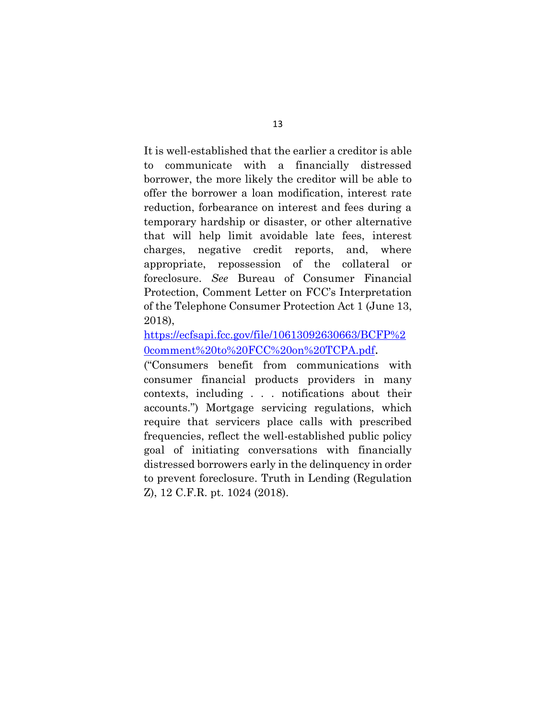It is well-established that the earlier a creditor is able to communicate with a financially distressed borrower, the more likely the creditor will be able to offer the borrower a loan modification, interest rate reduction, forbearance on interest and fees during a temporary hardship or disaster, or other alternative that will help limit avoidable late fees, interest charges, negative credit reports, and, where appropriate, repossession of the collateral or foreclosure. *See* Bureau of Consumer Financial Protection, Comment Letter on FCC's Interpretation of the Telephone Consumer Protection Act 1 (June 13, 2018),

[https://ecfsapi.fcc.gov/file/10613092630663/BCFP%2](https://ecfsapi.fcc.gov/file/10613092630663/BCFP%20comment%20to%20FCC%20on%20TCPA.pdf) [0comment%20to%20FCC%20on%20TCPA.pdf](https://ecfsapi.fcc.gov/file/10613092630663/BCFP%20comment%20to%20FCC%20on%20TCPA.pdf).

("Consumers benefit from communications with consumer financial products providers in many contexts, including . . . notifications about their accounts.") Mortgage servicing regulations, which require that servicers place calls with prescribed frequencies, reflect the well-established public policy goal of initiating conversations with financially distressed borrowers early in the delinquency in order to prevent foreclosure. Truth in Lending (Regulation Z), 12 C.F.R. pt. 1024 (2018).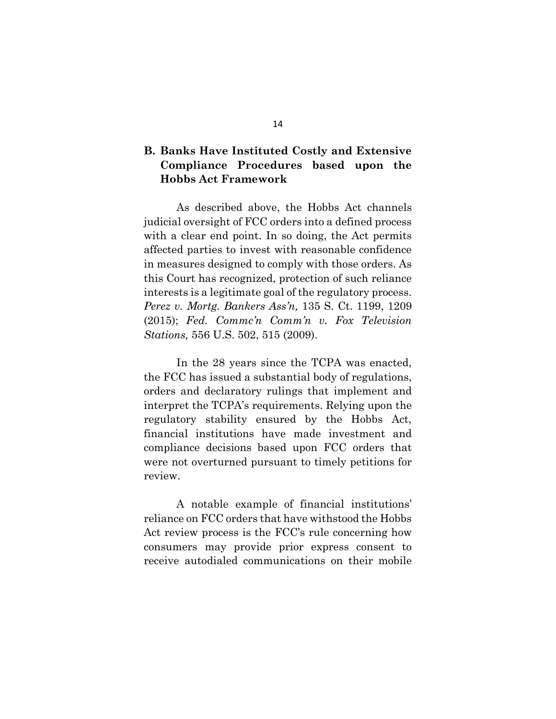# **B. Banks Have Instituted Costly and Extensive Compliance Procedures based upon the Hobbs Act Framework**

As described above, the Hobbs Act channels judicial oversight of FCC orders into a defined process with a clear end point. In so doing, the Act permits affected parties to invest with reasonable confidence in measures designed to comply with those orders. As this Court has recognized, protection of such reliance interests is a legitimate goal of the regulatory process. *Perez v. Mortg. Bankers Ass'n,* 135 S. Ct. 1199, 1209 (2015); *Fed. Commc'n Comm'n v. Fox Television Stations,* 556 U.S. 502, 515 (2009).

In the 28 years since the TCPA was enacted, the FCC has issued a substantial body of regulations, orders and declaratory rulings that implement and interpret the TCPA's requirements. Relying upon the regulatory stability ensured by the Hobbs Act, financial institutions have made investment and compliance decisions based upon FCC orders that were not overturned pursuant to timely petitions for review.

A notable example of financial institutions' reliance on FCC orders that have withstood the Hobbs Act review process is the FCC's rule concerning how consumers may provide prior express consent to receive autodialed communications on their mobile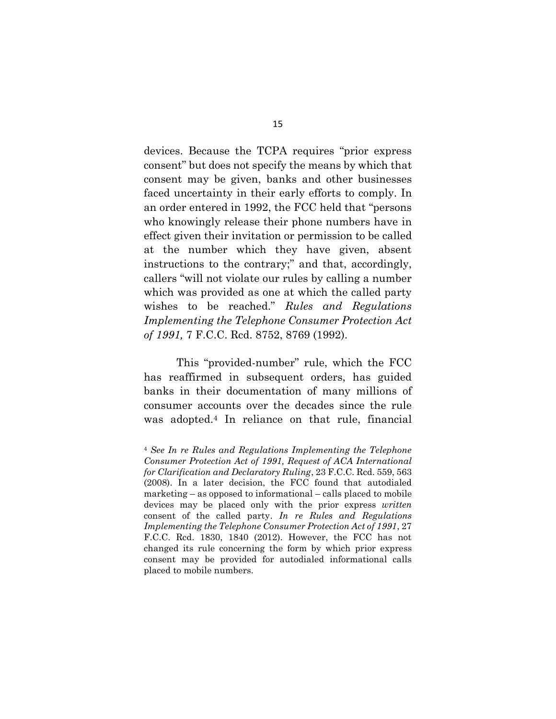devices. Because the TCPA requires "prior express consent" but does not specify the means by which that consent may be given, banks and other businesses faced uncertainty in their early efforts to comply. In an order entered in 1992, the FCC held that "persons who knowingly release their phone numbers have in effect given their invitation or permission to be called at the number which they have given, absent instructions to the contrary;" and that, accordingly, callers "will not violate our rules by calling a number which was provided as one at which the called party wishes to be reached." *Rules and Regulations Implementing the Telephone Consumer Protection Act of 1991,* 7 F.C.C. Rcd. 8752, 8769 (1992).

This "provided-number" rule, which the FCC has reaffirmed in subsequent orders, has guided banks in their documentation of many millions of consumer accounts over the decades since the rule was adopted.<sup>4</sup> In reliance on that rule, financial

<sup>4</sup> *See In re Rules and Regulations Implementing the Telephone Consumer Protection Act of 1991, Request of ACA International for Clarification and Declaratory Ruling*, 23 F.C.C. Rcd. 559, 563 (2008). In a later decision, the FCC found that autodialed marketing – as opposed to informational – calls placed to mobile devices may be placed only with the prior express *written* consent of the called party. *In re Rules and Regulations Implementing the Telephone Consumer Protection Act of 1991*, 27 F.C.C. Rcd. 1830, 1840 (2012). However, the FCC has not changed its rule concerning the form by which prior express consent may be provided for autodialed informational calls placed to mobile numbers.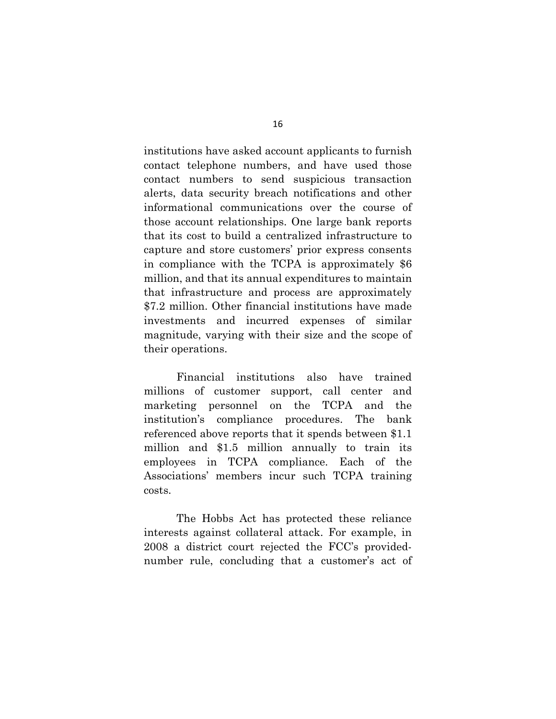institutions have asked account applicants to furnish contact telephone numbers, and have used those contact numbers to send suspicious transaction alerts, data security breach notifications and other informational communications over the course of those account relationships. One large bank reports that its cost to build a centralized infrastructure to capture and store customers' prior express consents in compliance with the TCPA is approximately \$6 million, and that its annual expenditures to maintain that infrastructure and process are approximately \$7.2 million. Other financial institutions have made investments and incurred expenses of similar magnitude, varying with their size and the scope of their operations.

Financial institutions also have trained millions of customer support, call center and marketing personnel on the TCPA and the institution's compliance procedures. The bank referenced above reports that it spends between \$1.1 million and \$1.5 million annually to train its employees in TCPA compliance. Each of the Associations' members incur such TCPA training costs.

The Hobbs Act has protected these reliance interests against collateral attack. For example, in 2008 a district court rejected the FCC's providednumber rule, concluding that a customer's act of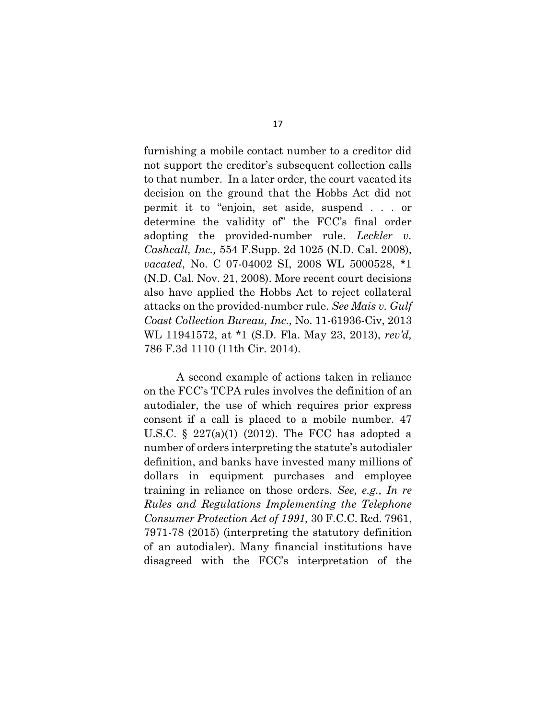furnishing a mobile contact number to a creditor did not support the creditor's subsequent collection calls to that number. In a later order, the court vacated its decision on the ground that the Hobbs Act did not permit it to "enjoin, set aside, suspend . . . or determine the validity of" the FCC's final order adopting the provided-number rule. *Leckler v. Cashcall, Inc.,* 554 F.Supp. 2d 1025 (N.D. Cal. 2008), *vacated*, No. C 07-04002 SI, 2008 WL 5000528, \*1 (N.D. Cal. Nov. 21, 2008). More recent court decisions also have applied the Hobbs Act to reject collateral attacks on the provided-number rule. *See Mais v. Gulf Coast Collection Bureau, Inc.,* No. 11-61936-Civ, 2013 WL 11941572, at \*1 (S.D. Fla. May 23, 2013), *rev'd,*  786 F.3d 1110 (11th Cir. 2014).

A second example of actions taken in reliance on the FCC's TCPA rules involves the definition of an autodialer, the use of which requires prior express consent if a call is placed to a mobile number. 47 U.S.C.  $\S$  227(a)(1) (2012). The FCC has adopted a number of orders interpreting the statute's autodialer definition, and banks have invested many millions of dollars in equipment purchases and employee training in reliance on those orders. *See, e.g., In re Rules and Regulations Implementing the Telephone Consumer Protection Act of 1991,* 30 F.C.C. Rcd. 7961, 7971-78 (2015) (interpreting the statutory definition of an autodialer). Many financial institutions have disagreed with the FCC's interpretation of the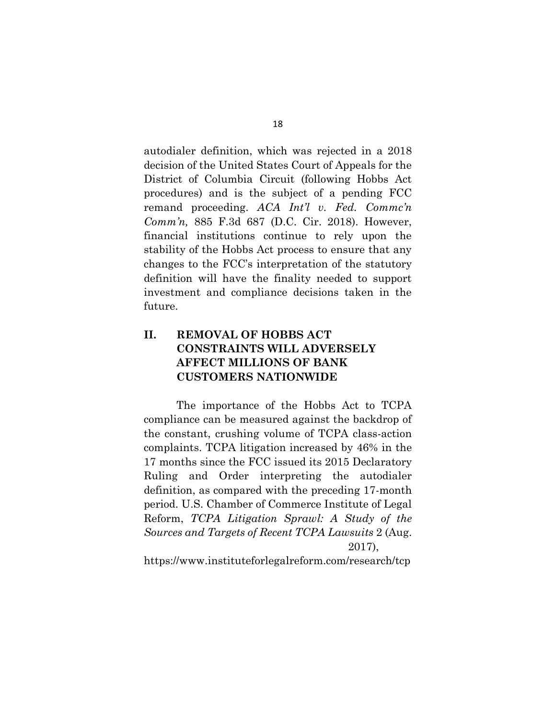autodialer definition, which was rejected in a 2018 decision of the United States Court of Appeals for the District of Columbia Circuit (following Hobbs Act procedures) and is the subject of a pending FCC remand proceeding. ACA Int<sup>'</sup>l v. Fed. Commc'n *Comm'n,* 885 F.3d 687 (D.C. Cir. 2018). However, financial institutions continue to rely upon the stability of the Hobbs Act process to ensure that any changes to the FCC's interpretation of the statutory definition will have the finality needed to support investment and compliance decisions taken in the future.

# **II. REMOVAL OF HOBBS ACT CONSTRAINTS WILL ADVERSELY AFFECT MILLIONS OF BANK CUSTOMERS NATIONWIDE**

The importance of the Hobbs Act to TCPA compliance can be measured against the backdrop of the constant, crushing volume of TCPA class-action complaints. TCPA litigation increased by 46% in the 17 months since the FCC issued its 2015 Declaratory Ruling and Order interpreting the autodialer definition, as compared with the preceding 17-month period. U.S. Chamber of Commerce Institute of Legal Reform, *TCPA Litigation Sprawl: A Study of the Sources and Targets of Recent TCPA Lawsuits* 2 (Aug. 2017),

https://www.instituteforlegalreform.com/research/tcp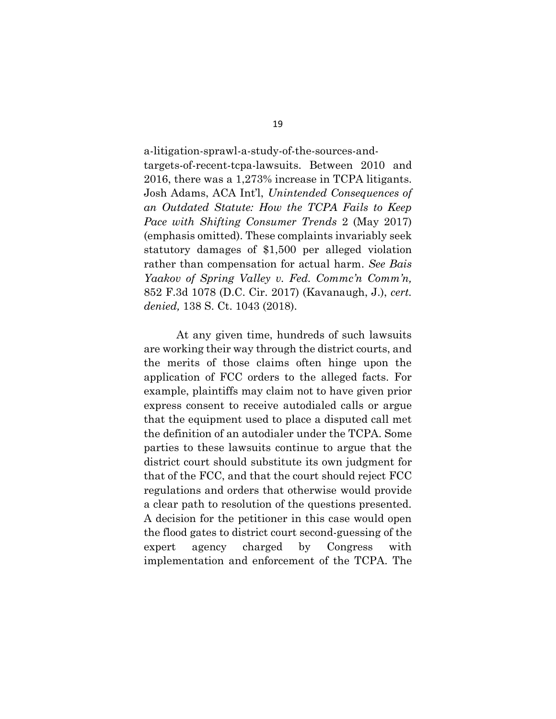a-litigation-sprawl-a-study-of-the-sources-andtargets-of-recent-tcpa-lawsuits. Between 2010 and 2016, there was a 1,273% increase in TCPA litigants. Josh Adams, ACA Int'l, *Unintended Consequences of an Outdated Statute: How the TCPA Fails to Keep Pace with Shifting Consumer Trends* 2 (May 2017) (emphasis omitted). These complaints invariably seek statutory damages of \$1,500 per alleged violation rather than compensation for actual harm. *See Bais Yaakov of Spring Valley v. Fed. Commc'n Comm'n,*  852 F.3d 1078 (D.C. Cir. 2017) (Kavanaugh, J.), *cert. denied,* 138 S. Ct. 1043 (2018).

At any given time, hundreds of such lawsuits are working their way through the district courts, and the merits of those claims often hinge upon the application of FCC orders to the alleged facts. For example, plaintiffs may claim not to have given prior express consent to receive autodialed calls or argue that the equipment used to place a disputed call met the definition of an autodialer under the TCPA. Some parties to these lawsuits continue to argue that the district court should substitute its own judgment for that of the FCC, and that the court should reject FCC regulations and orders that otherwise would provide a clear path to resolution of the questions presented. A decision for the petitioner in this case would open the flood gates to district court second-guessing of the expert agency charged by Congress with implementation and enforcement of the TCPA. The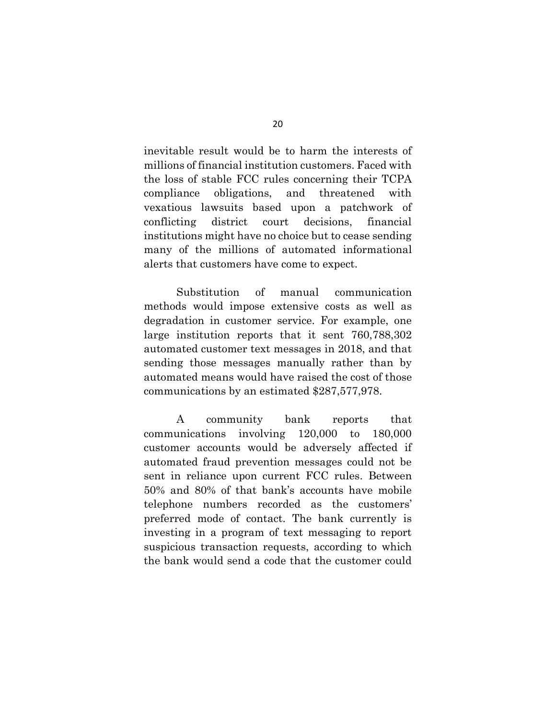inevitable result would be to harm the interests of millions of financial institution customers. Faced with the loss of stable FCC rules concerning their TCPA compliance obligations, and threatened with vexatious lawsuits based upon a patchwork of conflicting district court decisions, financial institutions might have no choice but to cease sending many of the millions of automated informational alerts that customers have come to expect.

Substitution of manual communication methods would impose extensive costs as well as degradation in customer service. For example, one large institution reports that it sent 760,788,302 automated customer text messages in 2018, and that sending those messages manually rather than by automated means would have raised the cost of those communications by an estimated \$287,577,978.

A community bank reports that communications involving 120,000 to 180,000 customer accounts would be adversely affected if automated fraud prevention messages could not be sent in reliance upon current FCC rules. Between 50% and 80% of that bank's accounts have mobile telephone numbers recorded as the customers' preferred mode of contact. The bank currently is investing in a program of text messaging to report suspicious transaction requests, according to which the bank would send a code that the customer could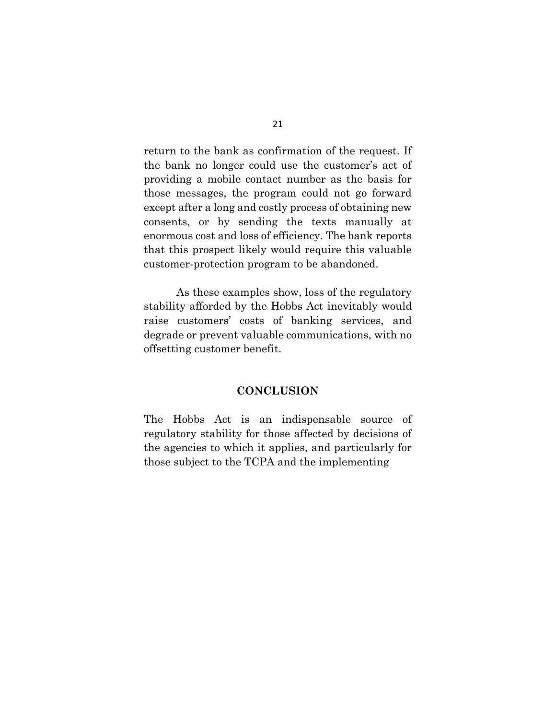return to the bank as confirmation of the request. If the bank no longer could use the customer's act of providing a mobile contact number as the basis for those messages, the program could not go forward except after a long and costly process of obtaining new consents, or by sending the texts manually at enormous cost and loss of efficiency. The bank reports that this prospect likely would require this valuable customer-protection program to be abandoned.

As these examples show, loss of the regulatory stability afforded by the Hobbs Act inevitably would raise customers' costs of banking services, and degrade or prevent valuable communications, with no offsetting customer benefit.

#### **CONCLUSION**

The Hobbs Act is an indispensable source of regulatory stability for those affected by decisions of the agencies to which it applies, and particularly for those subject to the TCPA and the implementing